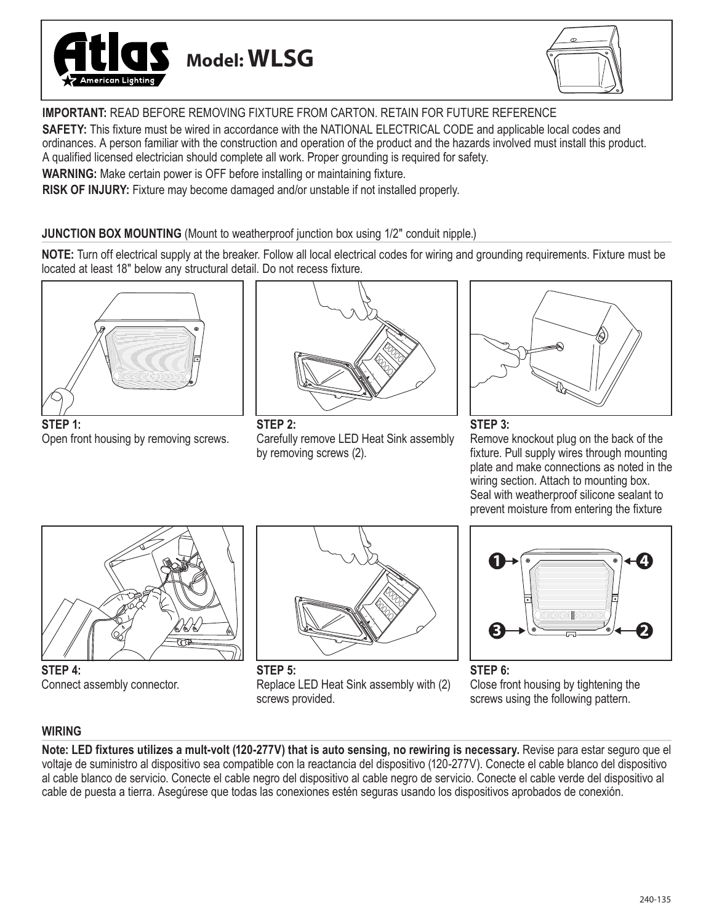



**IMPORTANT:** READ BEFORE REMOVING FIXTURE FROM CARTON. RETAIN FOR FUTURE REFERENCE

**SAFETY:** This fixture must be wired in accordance with the NATIONAL ELECTRICAL CODE and applicable local codes and ordinances. A person familiar with the construction and operation of the product and the hazards involved must install this product. A qualified licensed electrician should complete all work. Proper grounding is required for safety.

**WARNING:** Make certain power is OFF before installing or maintaining fixture.

**RISK OF INJURY:** Fixture may become damaged and/or unstable if not installed properly.

### **JUNCTION BOX MOUNTING** (Mount to weatherproof junction box using 1/2" conduit nipple.)

**NOTE:** Turn off electrical supply at the breaker. Follow all local electrical codes for wiring and grounding requirements. Fixture must be located at least 18" below any structural detail. Do not recess fixture.



**STEP 1:** Open front housing by removing screws.



**STEP 2:** Carefully remove LED Heat Sink assembly by removing screws (2).



### **STEP 3:**

Remove knockout plug on the back of the fixture. Pull supply wires through mounting plate and make connections as noted in the wiring section. Attach to mounting box. Seal with weatherproof silicone sealant to prevent moisture from entering the fixture



**STEP 4:** Connect assembly connector.



**STEP 5:** Replace LED Heat Sink assembly with (2) screws provided.



**STEP 6:** Close front housing by tightening the screws using the following pattern.

# **WIRING**

Note: LED fixtures utilizes a mult-volt (120-277V) that is auto sensing, no rewiring is necessary. Revise para estar seguro que el voltaje de suministro al dispositivo sea compatible con la reactancia del dispositivo (120-277V). Conecte el cable blanco del dispositivo al cable blanco de servicio. Conecte el cable negro del dispositivo al cable negro de servicio. Conecte el cable verde del dispositivo al cable de puesta a tierra. Asegúrese que todas las conexiones estén seguras usando los dispositivos aprobados de conexión.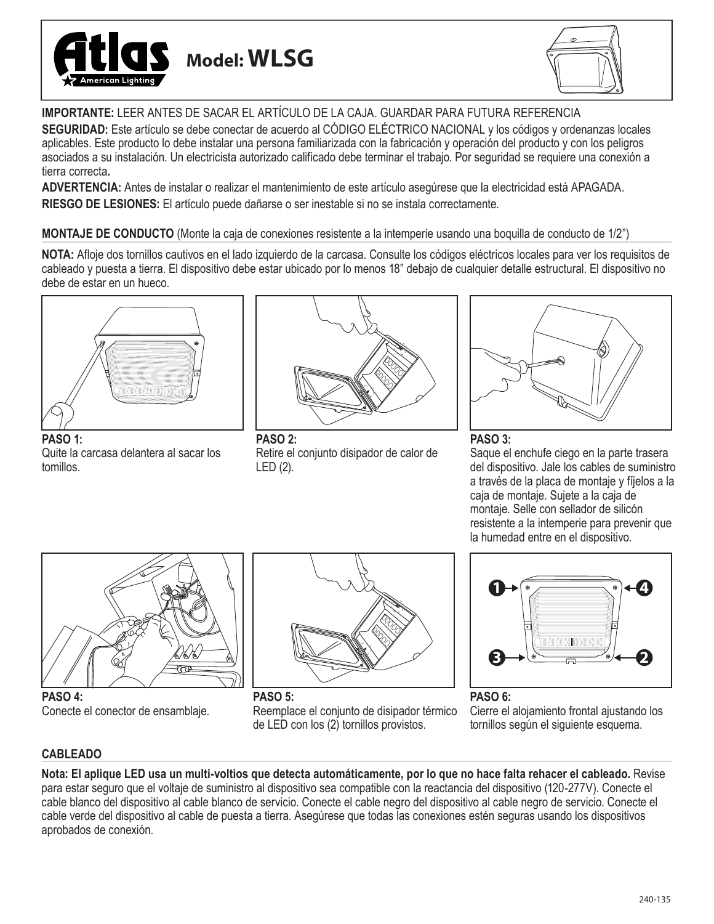



**IMPORTANTE:** LEER ANTES DE SACAR EL ARTÍCULO DE LA CAJA. GUARDAR PARA FUTURA REFERENCIA

**SEGURIDAD:** Este artículo se debe conectar de acuerdo al CÓDIGO ELÉCTRICO NACIONAL y los códigos y ordenanzas locales aplicables. Este producto lo debe instalar una persona familiarizada con la fabricación y operación del producto y con los peligros asociados a su instalación. Un electricista autorizado calificado debe terminar el trabajo. Por seguridad se requiere una conexión a tierra correcta**.**

**ADVERTENCIA:** Antes de instalar o realizar el mantenimiento de este artículo asegúrese que la electricidad está APAGADA. **RIESGO DE LESIONES:** El artículo puede dañarse o ser inestable si no se instala correctamente.

**MONTAJE DE CONDUCTO** (Monte la caja de conexiones resistente a la intemperie usando una boquilla de conducto de 1/2")

**NOTA:** Afloje dos tornillos cautivos en el lado izquierdo de la carcasa. Consulte los códigos eléctricos locales para ver los requisitos de cableado y puesta a tierra. El dispositivo debe estar ubicado por lo menos 18" debajo de cualquier detalle estructural. El dispositivo no debe de estar en un hueco.



**PASO 1:** Quite la carcasa delantera al sacar los tomillos.



**PASO 2:** Retire el conjunto disipador de calor de LED (2).



## **PASO 3:**

Saque el enchufe ciego en la parte trasera del dispositivo. Jale los cables de suministro a través de la placa de montaje y fíjelos a la caja de montaje. Sujete a la caja de montaje. Selle con sellador de silicón resistente a la intemperie para prevenir que la humedad entre en el dispositivo.



**PASO 4:** Conecte el conector de ensamblaje.



**PASO 5:** Reemplace el conjunto de disipador térmico de LED con los (2) tornillos provistos.



**PASO 6:** Cierre el alojamiento frontal ajustando los tornillos según el siguiente esquema.

# **CABLEADO**

**Nota: El aplique LED usa un multi-voltios que detecta automáticamente, por lo que no hace falta rehacer el cableado.** Revise para estar seguro que el voltaje de suministro al dispositivo sea compatible con la reactancia del dispositivo (120-277V). Conecte el cable blanco del dispositivo al cable blanco de servicio. Conecte el cable negro del dispositivo al cable negro de servicio. Conecte el cable verde del dispositivo al cable de puesta a tierra. Asegúrese que todas las conexiones estén seguras usando los dispositivos aprobados de conexión.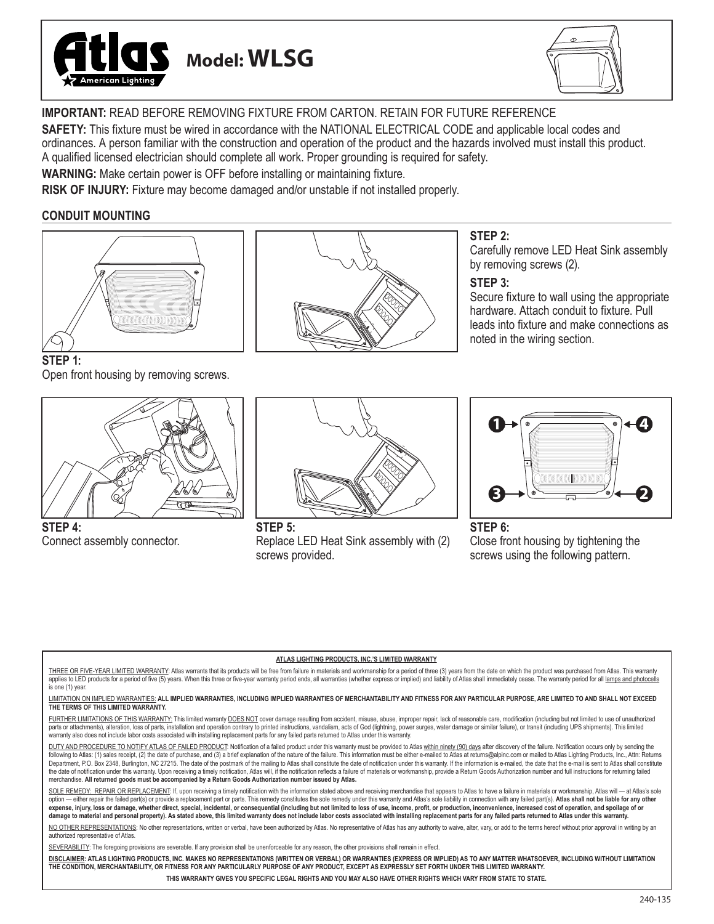



**IMPORTANT:** READ BEFORE REMOVING FIXTURE FROM CARTON. RETAIN FOR FUTURE REFERENCE

**SAFETY:** This fixture must be wired in accordance with the NATIONAL ELECTRICAL CODE and applicable local codes and ordinances. A person familiar with the construction and operation of the product and the hazards involved must install this product. A qualified licensed electrician should complete all work. Proper grounding is required for safety.

**WARNING:** Make certain power is OFF before installing or maintaining fixture.

**RISK OF INJURY:** Fixture may become damaged and/or unstable if not installed properly.

### **CONDUIT MOUNTING**



**STEP 1:**

Open front housing by removing screws.



**STEP 4:** Connect assembly connector.



### **STEP 2:**

Carefully remove LED Heat Sink assembly by removing screws (2).

### **STEP 3:**

Secure fixture to wall using the appropriate hardware. Attach conduit to fixture. Pull leads into fixture and make connections as noted in the wiring section.



**STEP 5:** Replace LED Heat Sink assembly with (2) screws provided.



#### **STEP 6:** Close front housing by tightening the screws using the following pattern.

#### **ATLAS LIGHTING PRODUCTS, INC.'S LIMITED WARRANTY**

THREE OR FIVE-YEAR LIMITED WARRANTY: Atlas warrants that its products will be free from failure in materials and workmanship for a period of three (3) years from the date on which the product was purchased from Atlas. This applies to LED products for a period of five (5) years. When this three or five-year warranty period ends, all warranties (whether express or implied) and liability of Atlas shall immediately cease. The warranty period for is one (1) year.

LIMITATION ON IMPLIED WARRANTIES: **ALL IMPLIED WARRANTIES, INCLUDING IMPLIED WARRANTIES OF MERCHANTABILITY AND FITNESS FOR ANY PARTICULAR PURPOSE, ARE LIMITED TO AND SHALL NOT EXCEED THE TERMS OF THIS LIMITED WARRANTY.**

FURTHER LIMITATIONS OF THIS WARRANTY: This limited warranty DOES NOT cover damage resulting from accident, misuse, abuse, improper repair, lack of reasonable care, modification (including but not limited to use of unauthor parts or attachments), alteration, loss of parts, installation and operation contrary to printed instructions, vandalism, acts of God (lightning, power surges, water damage or similar failure), or transit (including UPS sh warranty also does not include labor costs associated with installing replacement parts for any failed parts returned to Atlas under this warranty.

DUTY AND PROCEDURE TO NOTIFY ATLAS OF FAILED PRODUCT: Notification of a failed product under this warranty must be provided to Atlas within ninety (90) days after discovery of the failure. Notification occurs only by sendi following to Atlas: (1) sales receipt, (2) the date of purchase, and (3) a brief explanation of the nature of the failure. This information must be either e-mailed to Atlas at returns@alpinc.com or mailed to Atlas Lighting ent, P.O. Box 2348, Burlington, NC 27215. The date of the postmark of the mailing to Atlas shall constitute the date of notification under this warranty. If the information is e-mailed, the date that the e-mail is sent to the date of notification under this warranty. Upon receiving a timely notification, Atlas will, if the notification reflects a failure of materials or workmanship, provide a Return Goods Authorization number and full instr merchandise. **All returned goods must be accompanied by a Return Goods Authorization number issued by Atlas.**

SOLE REMEDY: REPAIR OR REPLACEMENT: If, upon receiving a timely notification with the information stated above and receiving merchandise that appears to Atlas to have a failure in materials or workmanship, Atlas will -- at option - either repair the failed part(s) or provide a replacement part or parts. This remedy constitutes the sole remedy under this warranty and Atlas's sole liability in connection with any failed part(s). Atlas shall no expense, injury, loss or damage, whether direct, special, incidental, or consequential (including but not limited to loss of use, income, profit, or production, inconvenience, increased cost of operation, and spoilage of o **damage to material and personal property). As stated above, this limited warranty does not include labor costs associated with installing replacement parts for any failed parts returned to Atlas under this warranty.**

NO OTHER REPRESENTATIONS: No other representations, written or verbal, have been authorized by Atlas. No representative of Atlas has any authority to waive, alter, vary, or add to the terms hereof without prior approval in authorized representative of Atlas.

SEVERABILITY: The foregoing provisions are severable. If any provision shall be unenforceable for any reason, the other provisions shall remain in effect.

**DISCLAIMER: ATLAS LIGHTING PRODUCTS, INC. MAKES NO REPRESENTATIONS (WRITTEN OR VERBAL) OR WARRANTIES (EXPRESS OR IMPLIED) AS TO ANY MATTER WHATSOEVER, INCLUDING WITHOUT LIMITATION THE CONDITION, MERCHANTABILITY, OR FITNESS FOR ANY PARTICULARLY PURPOSE OF ANY PRODUCT, EXCEPT AS EXPRESSLY SET FORTH UNDER THIS LIMITED WARRANTY.** 

**THIS WARRANTY GIVES YOU SPECIFIC LEGAL RIGHTS AND YOU MAY ALSO HAVE OTHER RIGHTS WHICH VARY FROM STATE TO STATE.**